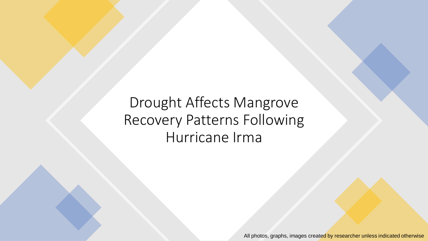Drought Affects Mangrove Recovery Patterns Following Hurricane Irma

All photos, graphs, images created by researcher unless indicated otherwise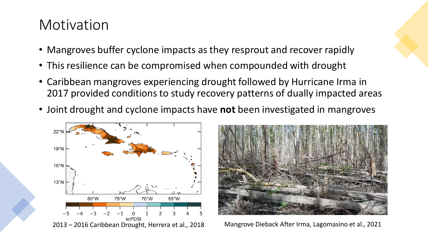### Motivation

- Mangroves buffer cyclone impacts as they resprout and recover rapidly
- This resilience can be compromised when compounded with drought
- Caribbean mangroves experiencing drought followed by Hurricane Irma in 2017 provided conditions to study recovery patterns of dually impacted areas
- Joint drought and cyclone impacts have **not** been investigated in mangroves



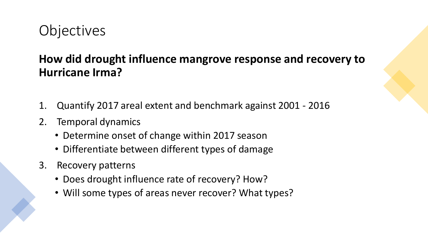## **Objectives**

### **How did drought influence mangrove response and recovery to Hurricane Irma?**

- 1. Quantify 2017 areal extent and benchmark against 2001 2016
- 2. Temporal dynamics
	- Determine onset of change within 2017 season
	- Differentiate between different types of damage
- 3. Recovery patterns
	- Does drought influence rate of recovery? How?
	- Will some types of areas never recover? What types?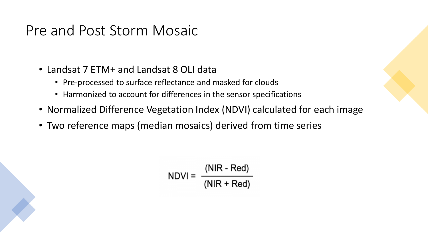## Pre and Post Storm Mosaic

- Landsat 7 ETM+ and Landsat 8 OLI data
	- Pre-processed to surface reflectance and masked for clouds
	- Harmonized to account for differences in the sensor specifications
- Normalized Difference Vegetation Index (NDVI) calculated for each image
- Two reference maps (median mosaics) derived from time series

$$
NDVI = \frac{(NIR - Red)}{(NIR + Red)}
$$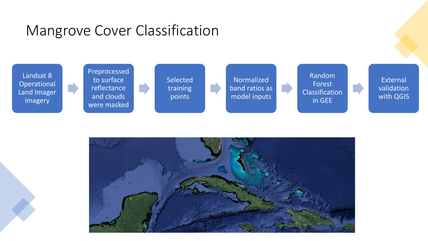## Mangrove Cover Classification



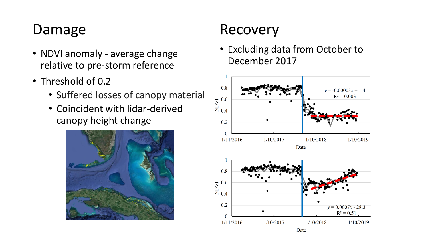# Damage

- NDVI anomaly average change relative to pre-storm reference
- Threshold of 0.2
	- Suffered losses of canopy material
	- Coincident with lidar-derived canopy height change



## Recovery

• Excluding data from October to December 2017

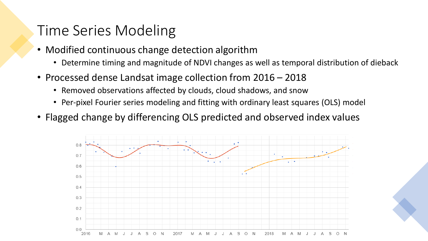### Time Series Modeling

- Modified continuous change detection algorithm
	- Determine timing and magnitude of NDVI changes as well as temporal distribution of dieback
- Processed dense Landsat image collection from 2016 2018
	- Removed observations affected by clouds, cloud shadows, and snow
	- Per-pixel Fourier series modeling and fitting with ordinary least squares (OLS) model
- Flagged change by differencing OLS predicted and observed index values

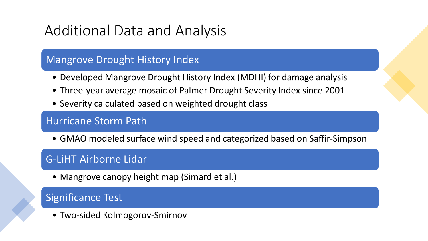# Additional Data and Analysis

#### Mangrove Drought History Index

- Developed Mangrove Drought History Index (MDHI) for damage analysis
- Three-year average mosaic of Palmer Drought Severity Index since 2001
- Severity calculated based on weighted drought class

#### Hurricane Storm Path

• GMAO modeled surface wind speed and categorized based on Saffir-Simpson

#### G-LiHT Airborne Lidar

• Mangrove canopy height map (Simard et al.)

#### Significance Test

• Two-sided Kolmogorov-Smirnov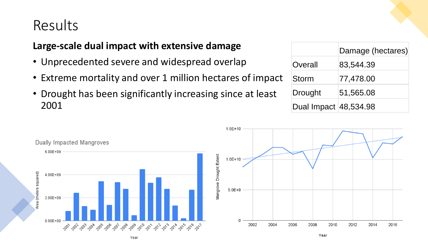### Results

#### **Large-scale dual impact with extensive damage**

- Unprecedented severe and widespread overlap
- Extreme mortality and over 1 million hectares of impact
- Drought has been significantly increasing since at least 2001

|                       | Damage (hectares) |
|-----------------------|-------------------|
| Overall               | 83,544.39         |
| <b>Storm</b>          | 77,478.00         |
| Drought               | 51,565.08         |
| Dual Impact 48,534.98 |                   |

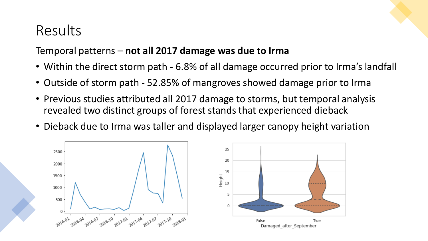### Results

#### Temporal patterns – **not all 2017 damage was due to Irma**

- Within the direct storm path 6.8% of all damage occurred prior to Irma's landfall
- Outside of storm path 52.85% of mangroves showed damage prior to Irma
- Previous studies attributed all 2017 damage to storms, but temporal analysis revealed two distinct groups of forest stands that experienced dieback
- Dieback due to Irma was taller and displayed larger canopy height variation



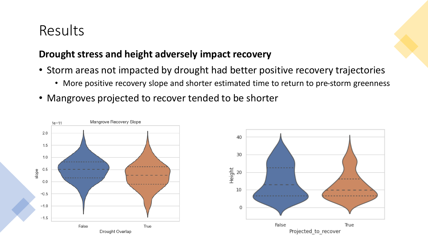## Results

#### **Drought stress and height adversely impact recovery**

- Storm areas not impacted by drought had better positive recovery trajectories
	- More positive recovery slope and shorter estimated time to return to pre-storm greenness
- Mangroves projected to recover tended to be shorter